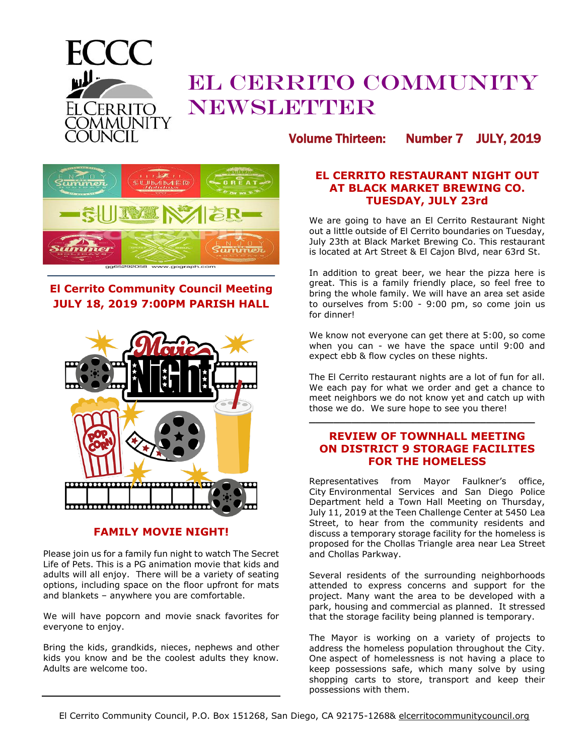

# EL CERRITO COMMUNITY NEWSLETTER

Volume Thirteen: Number 7 JULY, 2019



# **El Cerrito Community Council Meeting JULY 18, 2019 7:00PM PARISH HALL**



#### **FAMILY MOVIE NIGHT!**

Please join us for a family fun night to watch The Secret Life of Pets. This is a PG animation movie that kids and adults will all enjoy. There will be a variety of seating options, including space on the floor upfront for mats and blankets – anywhere you are comfortable.

We will have popcorn and movie snack favorites for everyone to enjoy.

Bring the kids, grandkids, nieces, nephews and other kids you know and be the coolest adults they know. Adults are welcome too.

#### **EL CERRITO RESTAURANT NIGHT OUT AT BLACK MARKET BREWING CO. TUESDAY, JULY 23rd**

We are going to have an El Cerrito Restaurant Night out a little outside of El Cerrito boundaries on Tuesday, July 23th at Black Market Brewing Co. This restaurant is located at Art Street & El Cajon Blvd, near 63rd St.

In addition to great beer, we hear the pizza here is great. This is a family friendly place, so feel free to bring the whole family. We will have an area set aside to ourselves from 5:00 - 9:00 pm, so come join us for dinner!

We know not everyone can get there at 5:00, so come when you can - we have the space until 9:00 and expect ebb & flow cycles on these nights.

The El Cerrito restaurant nights are a lot of fun for all. We each pay for what we order and get a chance to meet neighbors we do not know yet and catch up with those we do. We sure hope to see you there!

## **REVIEW OF TOWNHALL MEETING ON DISTRICT 9 STORAGE FACILITES FOR THE HOMELESS**

**\_\_\_\_\_\_\_\_\_\_\_\_\_\_\_\_\_\_\_\_\_\_\_\_\_\_\_\_\_\_\_\_\_\_\_\_\_**

Representatives from Mayor Faulkner's office, City Environmental Services and San Diego Police Department held a Town Hall Meeting on Thursday, July 11, 2019 at the Teen Challenge Center at 5450 Lea Street, to hear from the community residents and discuss a temporary storage facility for the homeless is proposed for the Chollas Triangle area near Lea Street and Chollas Parkway.

Several residents of the surrounding neighborhoods attended to express concerns and support for the project. Many want the area to be developed with a park, housing and commercial as planned. It stressed that the storage facility being planned is temporary.

The Mayor is working on a variety of projects to address the homeless population throughout the City. One aspect of homelessness is not having a place to keep possessions safe, which many solve by using shopping carts to store, transport and keep their possessions with them.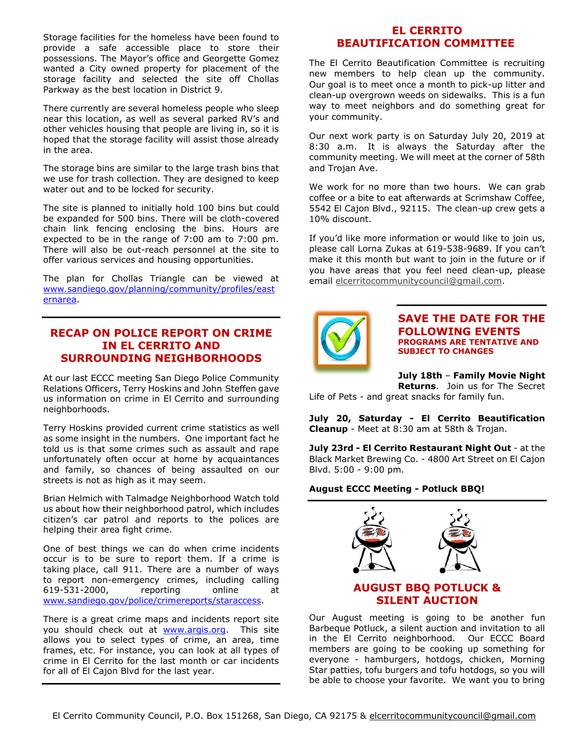Storage facilities for the homeless have been found to provide a safe accessible place to store their possessions. The Mayor's office and Georgette Gomez wanted a City owned property for placement of the storage facility and selected the site off Chollas Parkway as the best location in District 9.

There currently are several homeless people who sleep near this location, as well as several parked RV's and other vehicles housing that people are living in, so it is hoped that the storage facility will assist those already in the area.

The storage bins are similar to the large trash bins that we use for trash collection. They are designed to keep water out and to be locked for security.

The site is planned to initially hold 100 bins but could be expanded for 500 bins. There will be cloth-covered chain link fencing enclosing the bins. Hours are expected to be in the range of 7:00 am to 7:00 pm. There will also be out-reach personnel at the site to offer various services and housing opportunities.

The plan for Chollas Triangle can be viewed at [www.sandiego.gov/planning/community/profiles/east](https://www.sandiego.gov/planning/community/profiles/easternarea) [ernarea.](https://www.sandiego.gov/planning/community/profiles/easternarea)

## **RECAP ON POLICE REPORT ON CRIME IN EL CERRITO AND SURROUNDING NEIGHBORHOODS**

At our last ECCC meeting San Diego Police Community Relations Officers, Terry Hoskins and John Steffen gave us information on crime in El Cerrito and surrounding neighborhoods.

Terry Hoskins provided current crime statistics as well as some insight in the numbers. One important fact he told us is that some crimes such as assault and rape unfortunately often occur at home by acquaintances and family, so chances of being assaulted on our streets is not as high as it may seem.

Brian Helmich with Talmadge Neighborhood Watch told us about how their neighborhood patrol, which includes citizen's car patrol and reports to the polices are helping their area fight crime.

One of best things we can do when crime incidents occur is to be sure to report them. If a crime is taking place, call 911. There are a number of ways to report non-emergency crimes, including calling 619-531-2000, reporting online at [www.sandiego.gov/police/crimereports/staraccess.](https://www.sandiego.gov/planning/community/profiles/easternarea)

There is a great crime maps and incidents report site you should check out at **www.argis.org**. This site allows you to select types of crime, an area, time frames, etc. For instance, you can look at all types of crime in El Cerrito for the last month or car incidents for all of El Cajon Blvd for the last year.

#### **EL CERRITO BEAUTIFICATION COMMITTEE**

The El Cerrito Beautification Committee is recruiting new members to help clean up the community. Our goal is to meet once a month to pick-up litter and clean-up overgrown weeds on sidewalks. This is a fun way to meet neighbors and do something great for your community.

Our next work party is on Saturday July 20, 2019 at 8:30 a.m. It is always the Saturday after the community meeting. We will meet at the corner of 58th and Trojan Ave.

We work for no more than two hours. We can grab coffee or a bite to eat afterwards at Scrimshaw Coffee, 5542 El Cajon Blvd., 92115. The clean-up crew gets a 10% discount.

If you'd like more information or would like to join us, please call Lorna Zukas at 619-538-9689. If you can't make it this month but want to join in the future or if you have areas that you feel need clean-up, please email [elcerritocommunitycouncil@gmail.com.](mailto:elcerritocommunitycouncil@gmail.com)



#### **SAVE THE DATE FOR THE FOLLOWING EVENTS PROGRAMS ARE TENTATIVE AND SUBJECT TO CHANGES**

**July 18th** – **Family Movie Night** 

**Returns**. Join us for The Secret Life of Pets - and great snacks for family fun.

**July 20, Saturday - El Cerrito Beautification Cleanup** - Meet at 8:30 am at 58th & Trojan.

**July 23rd - El Cerrito Restaurant Night Out** - at the Black Market Brewing Co. - 4800 Art Street on El Cajon Blvd. 5:00 - 9:00 pm.

#### **August ECCC Meeting - Potluck BBQ!**



#### **AUGUST BBQ POTLUCK & SILENT AUCTION**

Our August meeting is going to be another fun Barbeque Potluck, a silent auction and invitation to all in the El Cerrito neighborhood. Our ECCC Board members are going to be cooking up something for everyone - hamburgers, hotdogs, chicken, Morning Star patties, tofu burgers and tofu hotdogs, so you will be able to choose your favorite. We want you to bring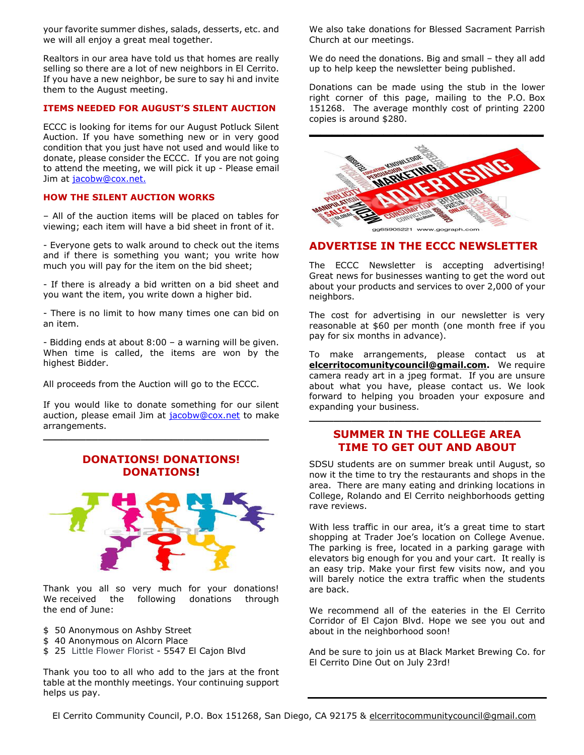your favorite summer dishes, salads, desserts, etc. and we will all enjoy a great meal together.

Realtors in our area have told us that homes are really selling so there are a lot of new neighbors in El Cerrito. If you have a new neighbor, be sure to say hi and invite them to the August meeting.

#### **ITEMS NEEDED FOR AUGUST'S SILENT AUCTION**

ECCC is looking for items for our August Potluck Silent Auction. If you have something new or in very good condition that you just have not used and would like to donate, please consider the ECCC. If you are not going to attend the meeting, we will pick it up - Please email Jim at [jacobw@cox.net.](mailto:jacobw@cox.net)

#### **HOW THE SILENT AUCTION WORKS**

– All of the auction items will be placed on tables for viewing; each item will have a bid sheet in front of it.

- Everyone gets to walk around to check out the items and if there is something you want; you write how much you will pay for the item on the bid sheet;

- If there is already a bid written on a bid sheet and you want the item, you write down a higher bid.

- There is no limit to how many times one can bid on an item.

- Bidding ends at about 8:00 – a warning will be given. When time is called, the items are won by the highest Bidder.

All proceeds from the Auction will go to the ECCC.

If you would like to donate something for our silent auction, please email Jim at [jacobw@cox.net](mailto:jacobw@cox.net) to make arrangements.

**\_\_\_\_\_\_\_\_\_\_\_\_\_\_\_\_\_\_\_\_\_\_\_\_\_\_\_\_\_\_\_\_\_\_\_\_\_**

## **DONATIONS! DONATIONS! DONATIONS!**



Thank you all so very much for your donations! We received the following donations through the end of June:

- \$ 50 Anonymous on Ashby Street
- \$40 Anonymous on Alcorn Place
- \$ 25 Little Flower Florist 5547 El Cajon Blvd

Thank you too to all who add to the jars at the front table at the monthly meetings. Your continuing support helps us pay.

We also take donations for Blessed Sacrament Parrish Church at our meetings.

We do need the donations. Big and small – they all add up to help keep the newsletter being published.

Donations can be made using the stub in the lower right corner of this page, mailing to the P.O. Box 151268. The average monthly cost of printing 2200 copies is around \$280.



## **ADVERTISE IN THE ECCC NEWSLETTER**

The ECCC Newsletter is accepting advertising! Great news for businesses wanting to get the word out about your products and services to over 2,000 of your neighbors.

The cost for advertising in our newsletter is very reasonable at \$60 per month (one month free if you pay for six months in advance).

To make arrangements, please contact us at **[elcerritocomunitycouncil@gmail.com.](mailto:elcerritocomunitycouncil@gmail.com)** We require camera ready art in a jpeg format. If you are unsure about what you have, please contact us. We look forward to helping you broaden your exposure and expanding your business.

#### **[SUMMER IN THE COLLEGE AREA](http://r20.rs6.net/tn.jsp?f=001WMrAWWKO4mneuUa7-1VBZ6S5E6NRdYY3QuvInoFllBYtLHWe5XI8UZyacsHLLI7N66Vi4N-folQXhVwe3hm6hfY_qFxn5EfdNc9pNZ-2kUWQNRwIV4Se5CgbBFM96GMFWyJFF8S3-iXW7Z0PiA1JxG1sUBSd_Lq1IaCaV64qM7e883T8WwYM7GL5JcFUNpfMdcqlFu8Bx9o6cnga4DcuvnBS4f9EEdM) TIME TO GET OUT AND ABOUT**

**\_\_\_\_\_\_\_\_\_\_\_\_\_\_\_\_\_\_\_\_\_\_\_\_\_\_\_\_\_\_\_\_\_\_\_\_\_\_**

SDSU students are on summer break until August, so now it the time to try the restaurants and shops in the area. There are many eating and drinking locations in College, Rolando and El Cerrito neighborhoods getting rave reviews.

With less traffic in our area, it's a great time to start shopping at Trader Joe's location on College Avenue. The parking is free, located in a parking garage with elevators big enough for you and your cart. It really is an easy trip. Make your first few visits now, and you will barely notice the extra traffic when the students are back.

We recommend all of the eateries in the El Cerrito Corridor of El Cajon Blvd. Hope we see you out and about in the neighborhood soon!

And be sure to join us at Black Market Brewing Co. for El Cerrito Dine Out on July 23rd!

El Cerrito Community Council, P.O. Box 151268, San Diego, CA 92175 & elcerritocommunitycouncil@gmail.com